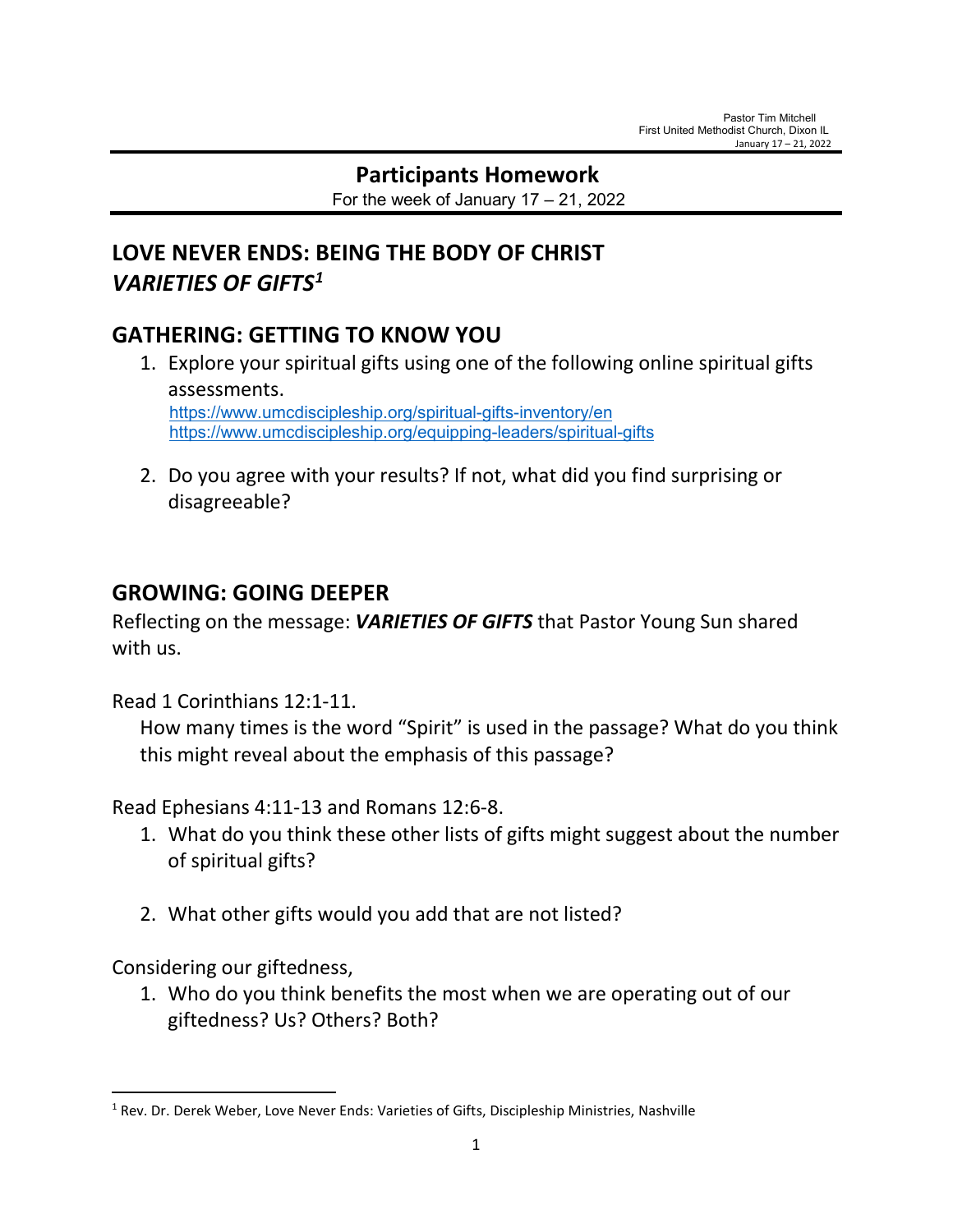# **Participants Homework**

For the week of January  $17 - 21$ , 2022

# **LOVE NEVER ENDS: BEING THE BODY OF CHRIST** *VARIETIES OF GIFTS[1](#page-0-0)*

## **GATHERING: GETTING TO KNOW YOU**

- 1. Explore your spiritual gifts using one of the following online spiritual gifts assessments. <https://www.umcdiscipleship.org/spiritual-gifts-inventory/en> <https://www.umcdiscipleship.org/equipping-leaders/spiritual-gifts>
- 2. Do you agree with your results? If not, what did you find surprising or disagreeable?

### **GROWING: GOING DEEPER**

Reflecting on the message: *VARIETIES OF GIFTS* that Pastor Young Sun shared with us.

Read 1 Corinthians 12:1-11.

How many times is the word "Spirit" is used in the passage? What do you think this might reveal about the emphasis of this passage?

Read Ephesians 4:11-13 and Romans 12:6-8.

- 1. What do you think these other lists of gifts might suggest about the number of spiritual gifts?
- 2. What other gifts would you add that are not listed?

Considering our giftedness,

1. Who do you think benefits the most when we are operating out of our giftedness? Us? Others? Both?

<span id="page-0-0"></span><sup>&</sup>lt;sup>1</sup> Rev. Dr. Derek Weber, Love Never Ends: Varieties of Gifts, Discipleship Ministries, Nashville